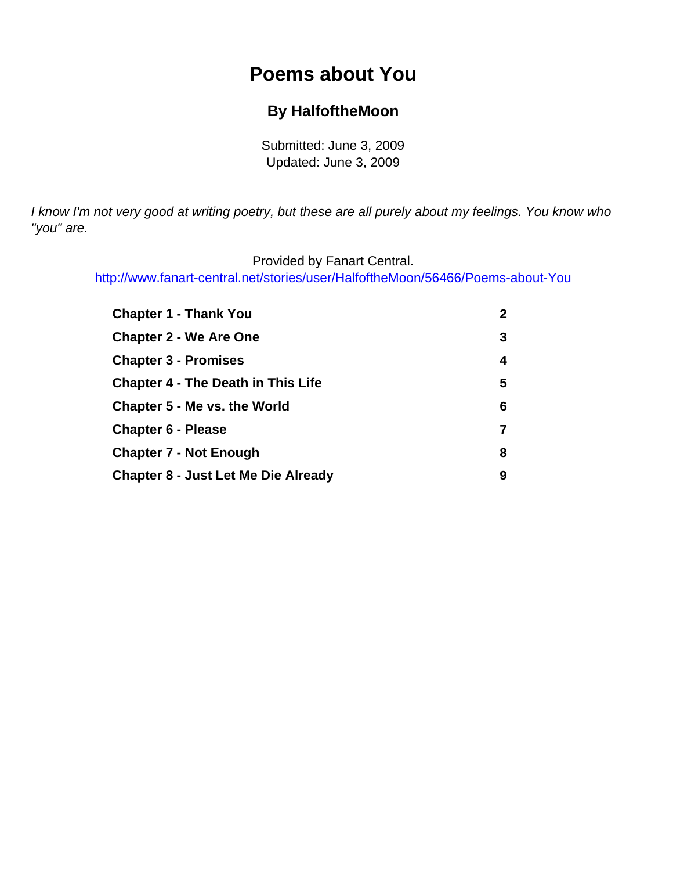# **Poems about You**

### **By HalfoftheMoon**

Submitted: June 3, 2009 Updated: June 3, 2009

<span id="page-0-0"></span>I know I'm not very good at writing poetry, but these are all purely about my feelings. You know who "you" are.

Provided by Fanart Central.

[http://www.fanart-central.net/stories/user/HalfoftheMoon/56466/Poems-about-You](#page-0-0)

| <b>Chapter 1 - Thank You</b>               | $\mathbf{2}$ |
|--------------------------------------------|--------------|
| <b>Chapter 2 - We Are One</b>              | 3            |
| <b>Chapter 3 - Promises</b>                | 4            |
| <b>Chapter 4 - The Death in This Life</b>  | 5            |
| Chapter 5 - Me vs. the World               | 6            |
| <b>Chapter 6 - Please</b>                  | 7            |
| <b>Chapter 7 - Not Enough</b>              | 8            |
| <b>Chapter 8 - Just Let Me Die Already</b> | 9            |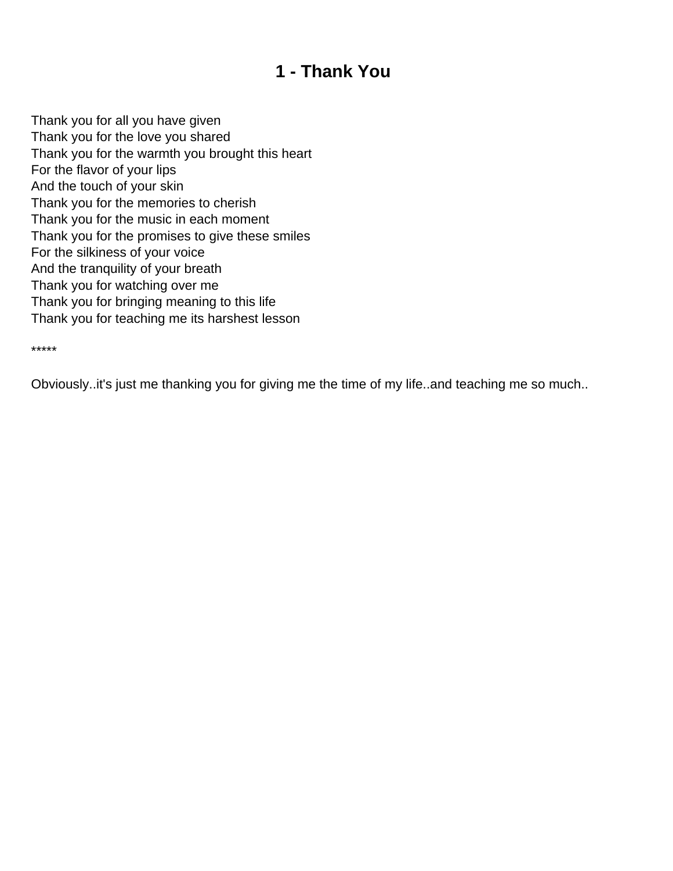## **1 - Thank You**

<span id="page-1-0"></span>Thank you for all you have given Thank you for the love you shared Thank you for the warmth you brought this heart For the flavor of your lips And the touch of your skin Thank you for the memories to cherish Thank you for the music in each moment Thank you for the promises to give these smiles For the silkiness of your voice And the tranquility of your breath Thank you for watching over me Thank you for bringing meaning to this life Thank you for teaching me its harshest lesson

\*\*\*\*\*

Obviously..it's just me thanking you for giving me the time of my life..and teaching me so much..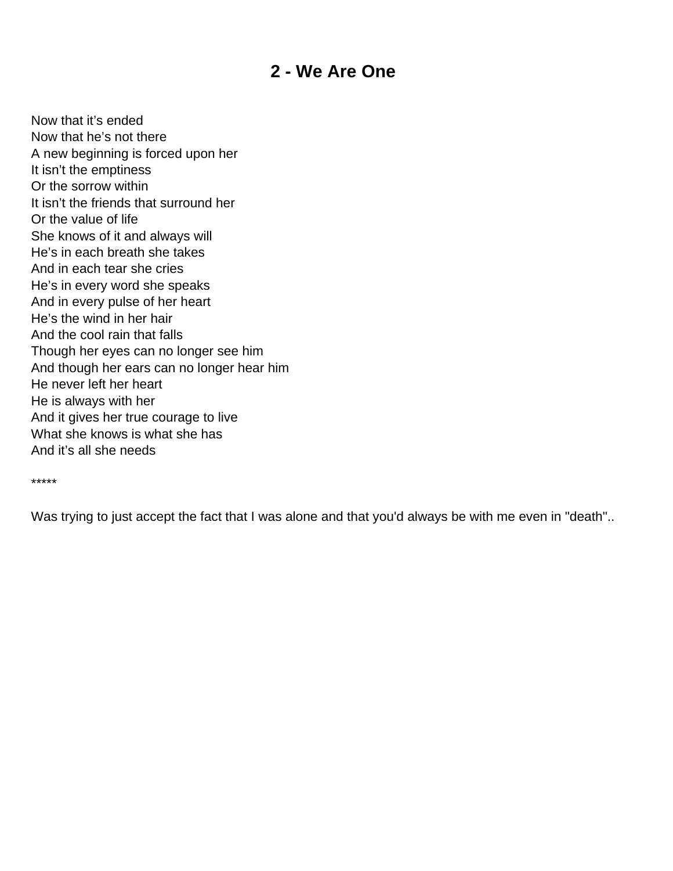### **2 - We Are One**

<span id="page-2-0"></span>Now that it's ended Now that he's not there A new beginning is forced upon her It isn't the emptiness Or the sorrow within It isn't the friends that surround her Or the value of life She knows of it and always will He's in each breath she takes And in each tear she cries He's in every word she speaks And in every pulse of her heart He's the wind in her hair And the cool rain that falls Though her eyes can no longer see him And though her ears can no longer hear him He never left her heart He is always with her And it gives her true courage to live What she knows is what she has And it's all she needs

\*\*\*\*\*

Was trying to just accept the fact that I was alone and that you'd always be with me even in "death"..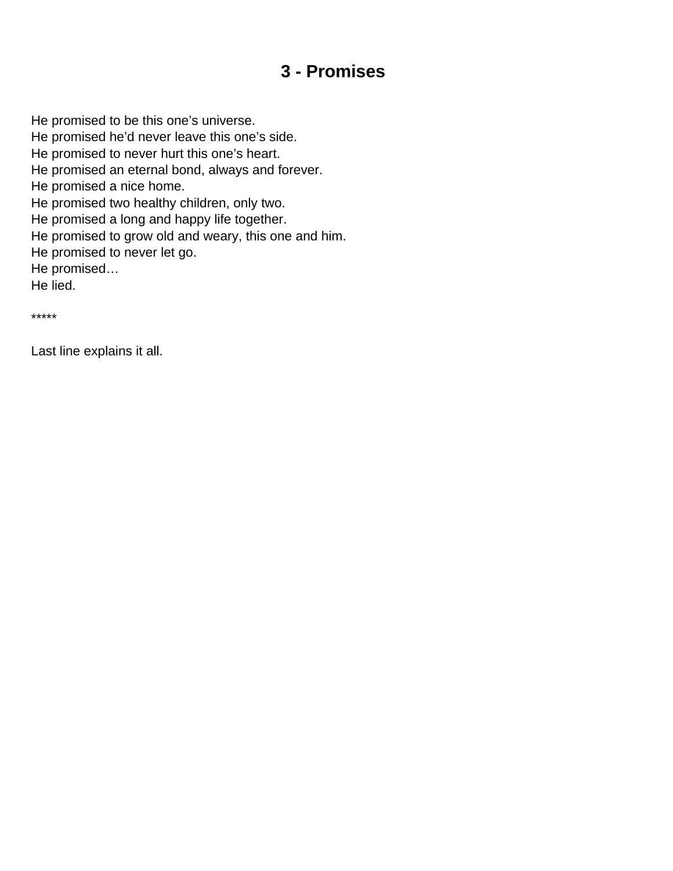## **3 - Promises**

<span id="page-3-0"></span>He promised to be this one's universe. He promised he'd never leave this one's side. He promised to never hurt this one's heart. He promised an eternal bond, always and forever. He promised a nice home. He promised two healthy children, only two. He promised a long and happy life together. He promised to grow old and weary, this one and him. He promised to never let go. He promised… He lied.

\*\*\*\*\*

Last line explains it all.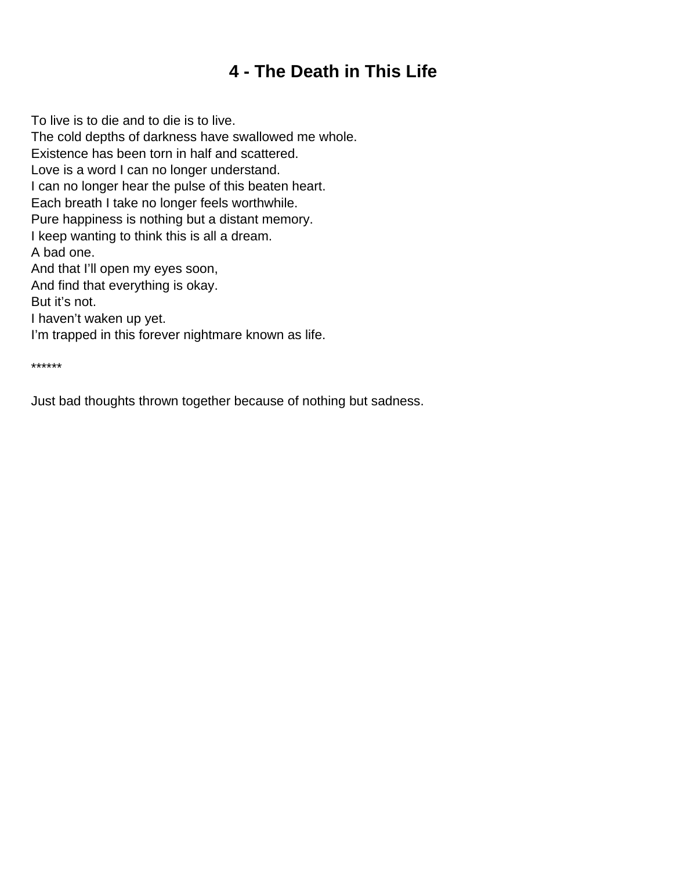## **4 - The Death in This Life**

<span id="page-4-0"></span>To live is to die and to die is to live. The cold depths of darkness have swallowed me whole. Existence has been torn in half and scattered. Love is a word I can no longer understand. I can no longer hear the pulse of this beaten heart. Each breath I take no longer feels worthwhile. Pure happiness is nothing but a distant memory. I keep wanting to think this is all a dream. A bad one. And that I'll open my eyes soon, And find that everything is okay. But it's not. I haven't waken up yet. I'm trapped in this forever nightmare known as life.

\*\*\*\*\*\*

Just bad thoughts thrown together because of nothing but sadness.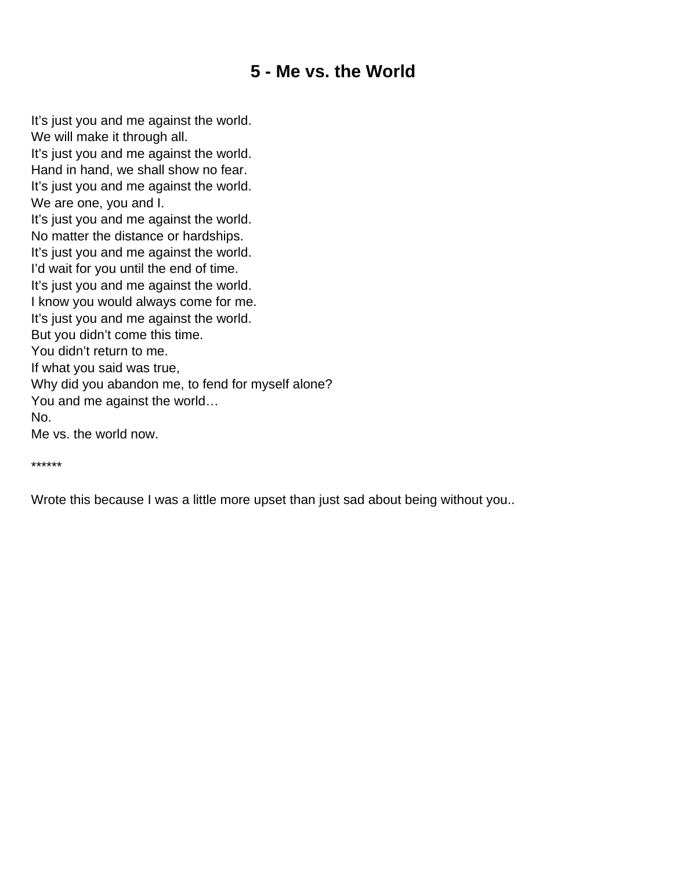## **5 - Me vs. the World**

<span id="page-5-0"></span>It's just you and me against the world. We will make it through all. It's just you and me against the world. Hand in hand, we shall show no fear. It's just you and me against the world. We are one, you and I. It's just you and me against the world. No matter the distance or hardships. It's just you and me against the world. I'd wait for you until the end of time. It's just you and me against the world. I know you would always come for me. It's just you and me against the world. But you didn't come this time. You didn't return to me. If what you said was true, Why did you abandon me, to fend for myself alone? You and me against the world… No. Me vs. the world now.

\*\*\*\*\*\*

Wrote this because I was a little more upset than just sad about being without you..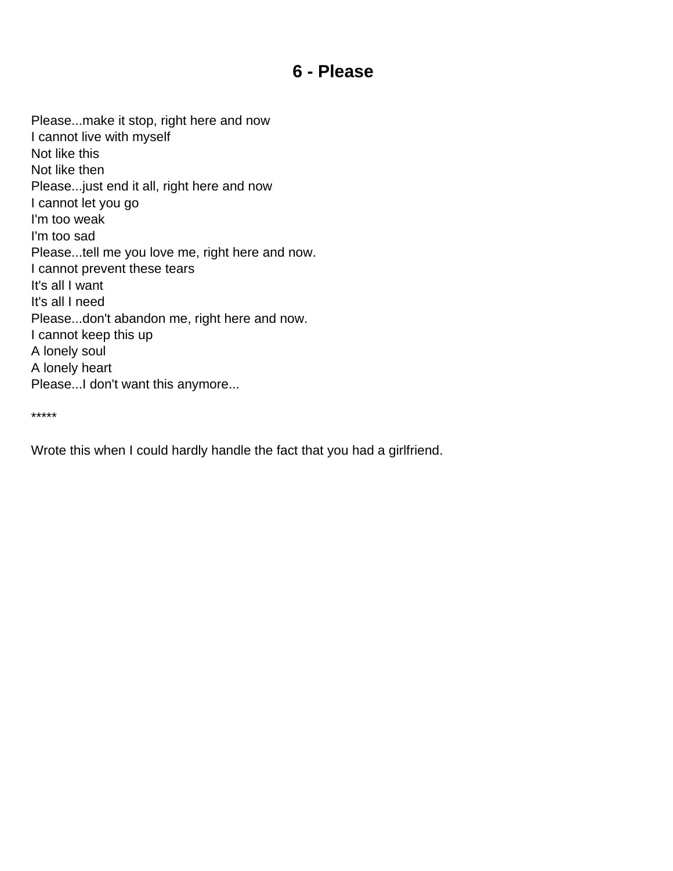### **6 - Please**

<span id="page-6-0"></span>Please...make it stop, right here and now I cannot live with myself Not like this Not like then Please...just end it all, right here and now I cannot let you go I'm too weak I'm too sad Please...tell me you love me, right here and now. I cannot prevent these tears It's all I want It's all I need Please...don't abandon me, right here and now. I cannot keep this up A lonely soul A lonely heart Please...I don't want this anymore...

\*\*\*\*\*

Wrote this when I could hardly handle the fact that you had a girlfriend.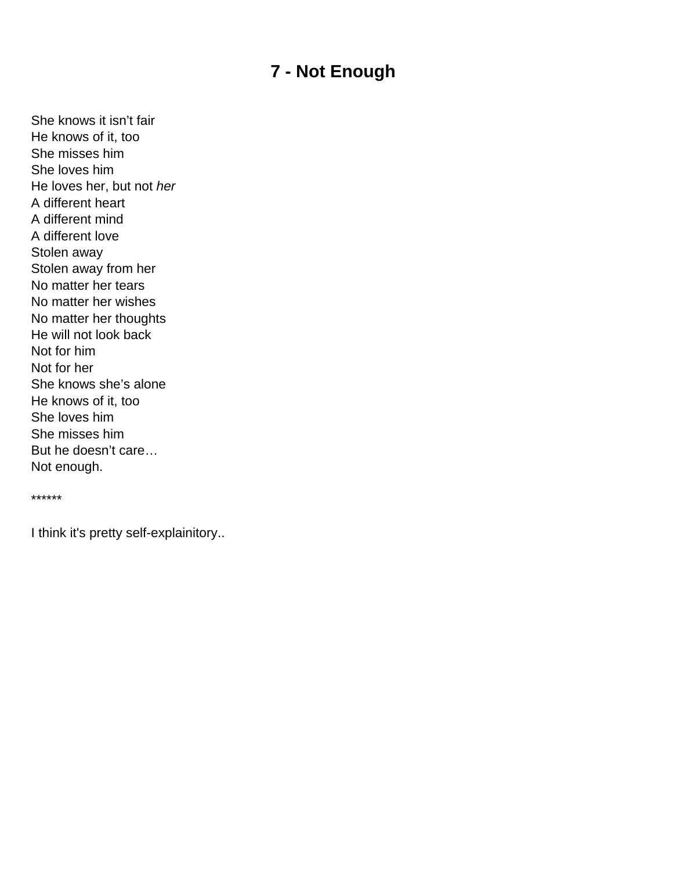## **7 - Not Enough**

<span id="page-7-0"></span>She knows it isn't fair He knows of it, too She misses him She loves him He loves her, but not her A different heart A different mind A different love Stolen away Stolen away from her No matter her tears No matter her wishes No matter her thoughts He will not look back Not for him Not for her She knows she's alone He knows of it, too She loves him She misses him But he doesn't care… Not enough.

\*\*\*\*\*\*

I think it's pretty self-explainitory..